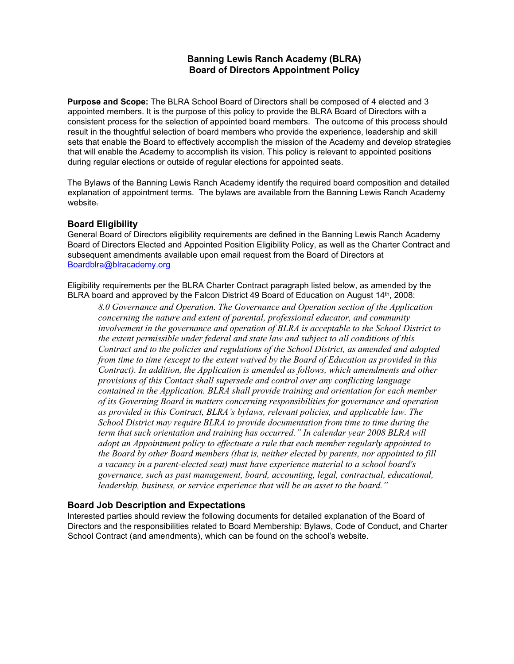# **Banning Lewis Ranch Academy (BLRA) Board of Directors Appointment Policy**

**Purpose and Scope:** The BLRA School Board of Directors shall be composed of 4 elected and 3 appointed members. It is the purpose of this policy to provide the BLRA Board of Directors with a consistent process for the selection of appointed board members. The outcome of this process should result in the thoughtful selection of board members who provide the experience, leadership and skill sets that enable the Board to effectively accomplish the mission of the Academy and develop strategies that will enable the Academy to accomplish its vision. This policy is relevant to appointed positions during regular elections or outside of regular elections for appointed seats.

The Bylaws of the Banning Lewis Ranch Academy identify the required board composition and detailed explanation of appointment terms. The bylaws are available from the Banning Lewis Ranch Academy website.

#### **Board Eligibility**

General Board of Directors eligibility requirements are defined in the Banning Lewis Ranch Academy Board of Directors Elected and Appointed Position Eligibility Policy, as well as the Charter Contract and subsequent amendments available upon email request from the Board of Directors at Boardblra@blracademy.org

Eligibility requirements per the BLRA Charter Contract paragraph listed below, as amended by the BLRA board and approved by the Falcon District 49 Board of Education on August 14<sup>th</sup>, 2008:

*8.0 Governance and Operation. The Governance and Operation section of the Application concerning the nature and extent of parental, professional educator, and community involvement in the governance and operation of BLRA is acceptable to the School District to the extent permissible under federal and state law and subject to all conditions of this Contract and to the policies and regulations of the School District, as amended and adopted from time to time (except to the extent waived by the Board of Education as provided in this Contract). In addition, the Application is amended as follows, which amendments and other provisions of this Contact shall supersede and control over any conflicting language contained in the Application. BLRA shall provide training and orientation for each member of its Governing Board in matters concerning responsibilities for governance and operation as provided in this Contract, BLRA's bylaws, relevant policies, and applicable law. The School District may require BLRA to provide documentation from time to time during the term that such orientation and training has occurred." In calendar year 2008 BLRA will adopt an Appointment policy to effectuate a rule that each member regularly appointed to the Board by other Board members (that is, neither elected by parents, nor appointed to fill a vacancy in a parent-elected seat) must have experience material to a school board's governance, such as past management, board, accounting, legal, contractual, educational, leadership, business, or service experience that will be an asset to the board."*

### **Board Job Description and Expectations**

Interested parties should review the following documents for detailed explanation of the Board of Directors and the responsibilities related to Board Membership: Bylaws, Code of Conduct, and Charter School Contract (and amendments), which can be found on the school's website.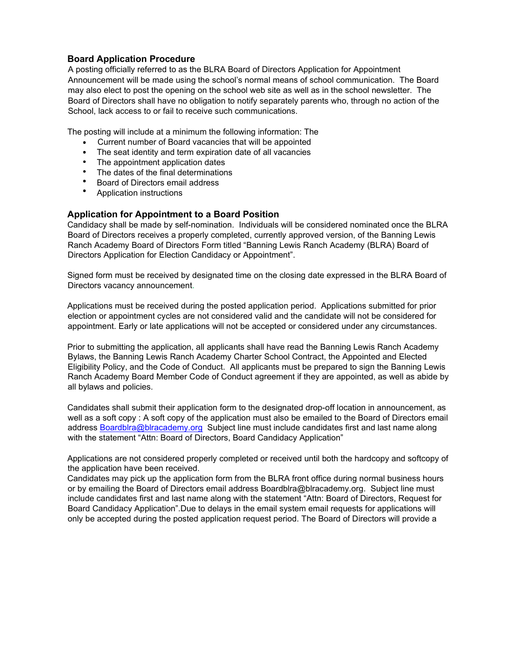## **Board Application Procedure**

A posting officially referred to as the BLRA Board of Directors Application for Appointment Announcement will be made using the school's normal means of school communication. The Board may also elect to post the opening on the school web site as well as in the school newsletter. The Board of Directors shall have no obligation to notify separately parents who, through no action of the School, lack access to or fail to receive such communications.

The posting will include at a minimum the following information: The

- Current number of Board vacancies that will be appointed
- The seat identity and term expiration date of all vacancies
- The appointment application dates
- The dates of the final determinations
- Board of Directors email address
- Application instructions

# **Application for Appointment to a Board Position**

Candidacy shall be made by self-nomination. Individuals will be considered nominated once the BLRA Board of Directors receives a properly completed, currently approved version, of the Banning Lewis Ranch Academy Board of Directors Form titled "Banning Lewis Ranch Academy (BLRA) Board of Directors Application for Election Candidacy or Appointment".

Signed form must be received by designated time on the closing date expressed in the BLRA Board of Directors vacancy announcement.

Applications must be received during the posted application period. Applications submitted for prior election or appointment cycles are not considered valid and the candidate will not be considered for appointment. Early or late applications will not be accepted or considered under any circumstances.

Prior to submitting the application, all applicants shall have read the Banning Lewis Ranch Academy Bylaws, the Banning Lewis Ranch Academy Charter School Contract, the Appointed and Elected Eligibility Policy, and the Code of Conduct. All applicants must be prepared to sign the Banning Lewis Ranch Academy Board Member Code of Conduct agreement if they are appointed, as well as abide by all bylaws and policies.

Candidates shall submit their application form to the designated drop-off location in announcement, as well as a soft copy : A soft copy of the application must also be emailed to the Board of Directors email address Boardblra@blracademy.org Subject line must include candidates first and last name along with the statement "Attn: Board of Directors, Board Candidacy Application"

Applications are not considered properly completed or received until both the hardcopy and softcopy of the application have been received.

Candidates may pick up the application form from the BLRA front office during normal business hours or by emailing the Board of Directors email address Boardblra@blracademy.org. Subject line must include candidates first and last name along with the statement "Attn: Board of Directors, Request for Board Candidacy Application".Due to delays in the email system email requests for applications will only be accepted during the posted application request period. The Board of Directors will provide a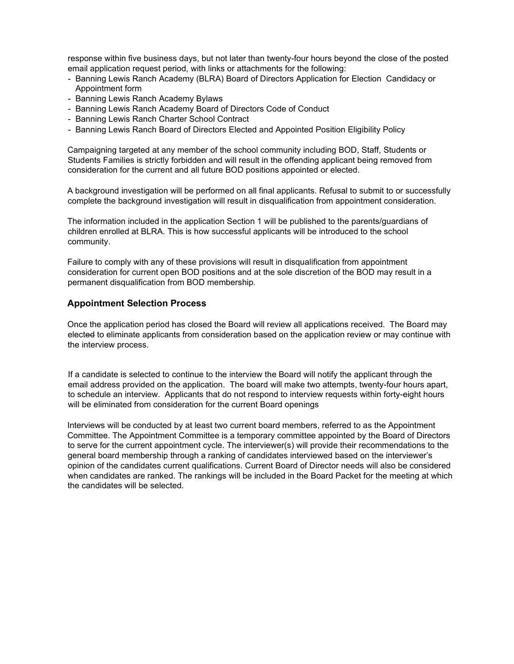response within five business days, but not later than twenty-four hours beyond the close of the posted email application request period, with links or attachments for the following:

- Banning Lewis Ranch Academy (BLRA) Board of Directors Application for Election Candidacy or Appointment form
- Banning Lewis Ranch Academy Bylaws
- Banning Lewis Ranch Academy Board of Directors Code of Conduct
- Banning Lewis Ranch Charter School Contract
- Banning Lewis Ranch Board of Directors Elected and Appointed Position Eligibility Policy

Campaigning targeted at any member of the school community including BOD, Staff, Students or Students Families is strictly forbidden and will result in the offending applicant being removed from consideration for the current and all future BOD positions appointed or elected.

A background investigation will be performed on all final applicants. Refusal to submit to or successfully complete the background investigation will result in disqualification from appointment consideration.

The information included in the application Section 1 will be published to the parents/guardians of children enrolled at BLRA. This is how successful applicants will be introduced to the school community.

Failure to comply with any of these provisions will result in disqualification from appointment consideration for current open BOD positions and at the sole discretion of the BOD may result in a permanent disqualification from BOD membership.

#### **Appointment Selection Process**

Once the application period has closed the Board will review all applications received. The Board may elected to eliminate applicants from consideration based on the application review or may continue with the interview process.

If a candidate is selected to continue to the interview the Board will notify the applicant through the email address provided on the application. The board will make two attempts, twenty-four hours apart, to schedule an interview. Applicants that do not respond to interview requests within forty-eight hours will be eliminated from consideration for the current Board openings

Interviews will be conducted by at least two current board members, referred to as the Appointment Committee. The Appointment Committee is a temporary committee appointed by the Board of Directors to serve for the current appointment cycle. The interviewer(s) will provide their recommendations to the general board membership through a ranking of candidates interviewed based on the interviewer's opinion of the candidates current qualifications. Current Board of Director needs will also be considered when candidates are ranked. The rankings will be included in the Board Packet for the meeting at which the candidates will be selected.